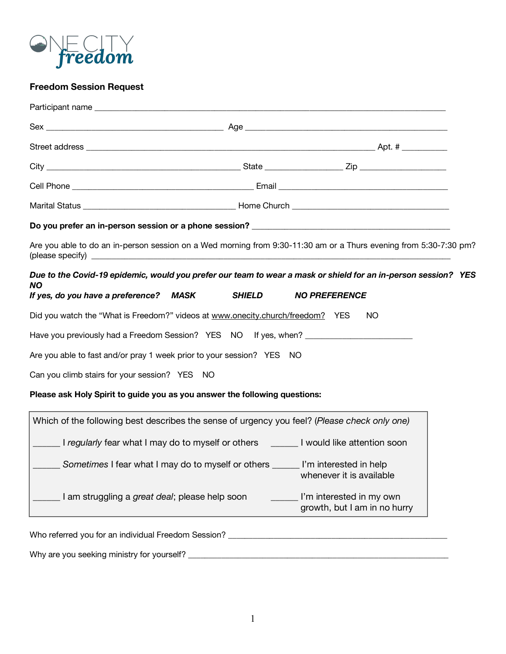

# **Freedom Session Request**

|                                                                                                                        | Are you able to do an in-person session on a Wed morning from 9:30-11:30 am or a Thurs evening from 5:30-7:30 pm?                                       |  |
|------------------------------------------------------------------------------------------------------------------------|---------------------------------------------------------------------------------------------------------------------------------------------------------|--|
| NO.<br>If yes, do you have a preference? MASK                                                                          | Due to the Covid-19 epidemic, would you prefer our team to wear a mask or shield for an in-person session? YES<br><b>SHIELD</b><br><b>NO PREFERENCE</b> |  |
|                                                                                                                        | Did you watch the "What is Freedom?" videos at www.onecity.church/freedom? YES<br>NO.                                                                   |  |
|                                                                                                                        |                                                                                                                                                         |  |
|                                                                                                                        |                                                                                                                                                         |  |
|                                                                                                                        |                                                                                                                                                         |  |
| Are you able to fast and/or pray 1 week prior to your session? YES NO<br>Can you climb stairs for your session? YES NO |                                                                                                                                                         |  |
|                                                                                                                        | Please ask Holy Spirit to guide you as you answer the following questions:                                                                              |  |
|                                                                                                                        | Which of the following best describes the sense of urgency you feel? (Please check only one)                                                            |  |
|                                                                                                                        | I regularly fear what I may do to myself or others <b>I would like attention soon</b>                                                                   |  |
|                                                                                                                        | Sometimes I fear what I may do to myself or others ______ I'm interested in help<br>whenever it is available                                            |  |

Why are you seeking ministry for yourself? \_\_\_\_\_\_\_\_\_\_\_\_\_\_\_\_\_\_\_\_\_\_\_\_\_\_\_\_\_\_\_\_\_\_\_\_\_\_\_\_\_\_\_\_\_\_\_\_\_\_\_\_\_\_\_\_\_\_\_\_\_\_\_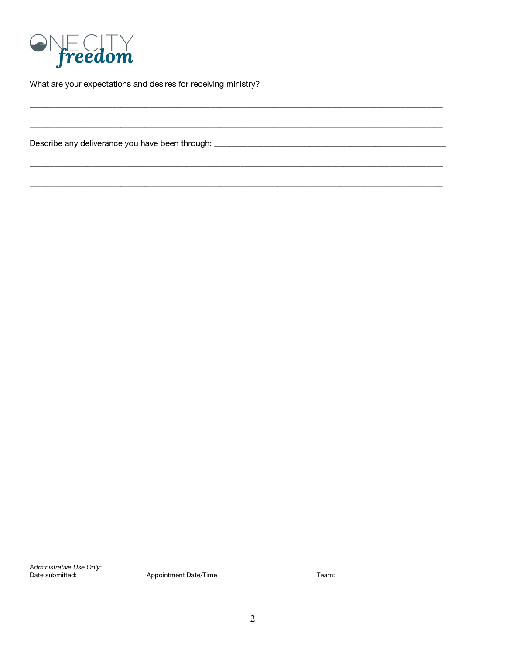

What are your expectations and desires for receiving ministry?

Administrative Use Only: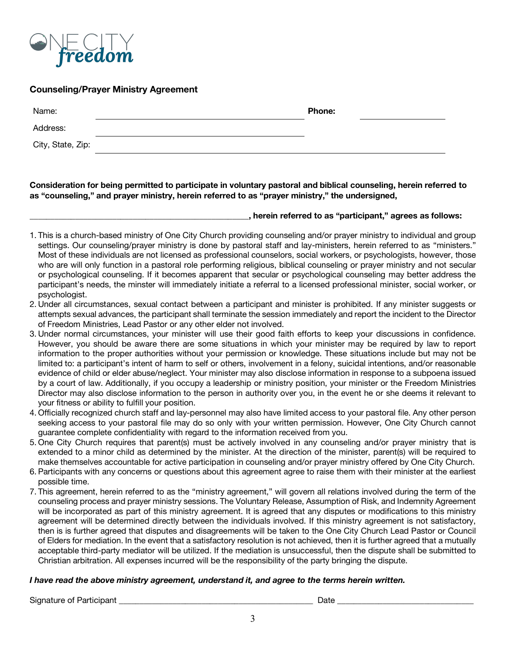

# **Counseling/Prayer Ministry Agreement**

| Name:             | <b>Phone:</b> |
|-------------------|---------------|
| Address:          |               |
| City, State, Zip: |               |

**Consideration for being permitted to participate in voluntary pastoral and biblical counseling, herein referred to as "counseling," and prayer ministry, herein referred to as "prayer ministry," the undersigned,**

#### **\_\_\_\_\_\_\_\_\_\_\_\_\_\_\_\_\_\_\_\_\_\_\_\_\_\_\_\_\_\_\_\_\_\_\_\_\_\_\_\_\_\_\_\_\_\_\_\_\_\_\_\_\_, herein referred to as "participant," agrees as follows:**

- 1. This is a church-based ministry of One City Church providing counseling and/or prayer ministry to individual and group settings. Our counseling/prayer ministry is done by pastoral staff and lay-ministers, herein referred to as "ministers." Most of these individuals are not licensed as professional counselors, social workers, or psychologists, however, those who are will only function in a pastoral role performing religious, biblical counseling or prayer ministry and not secular or psychological counseling. If it becomes apparent that secular or psychological counseling may better address the participant's needs, the minster will immediately initiate a referral to a licensed professional minister, social worker, or psychologist.
- 2. Under all circumstances, sexual contact between a participant and minister is prohibited. If any minister suggests or attempts sexual advances, the participant shall terminate the session immediately and report the incident to the Director of Freedom Ministries, Lead Pastor or any other elder not involved.
- 3. Under normal circumstances, your minister will use their good faith efforts to keep your discussions in confidence. However, you should be aware there are some situations in which your minister may be required by law to report information to the proper authorities without your permission or knowledge. These situations include but may not be limited to: a participant's intent of harm to self or others, involvement in a felony, suicidal intentions, and/or reasonable evidence of child or elder abuse/neglect. Your minister may also disclose information in response to a subpoena issued by a court of law. Additionally, if you occupy a leadership or ministry position, your minister or the Freedom Ministries Director may also disclose information to the person in authority over you, in the event he or she deems it relevant to your fitness or ability to fulfill your position.
- 4. Officially recognized church staff and lay-personnel may also have limited access to your pastoral file. Any other person seeking access to your pastoral file may do so only with your written permission. However, One City Church cannot guarantee complete confidentiality with regard to the information received from you.
- 5. One City Church requires that parent(s) must be actively involved in any counseling and/or prayer ministry that is extended to a minor child as determined by the minister. At the direction of the minister, parent(s) will be required to make themselves accountable for active participation in counseling and/or prayer ministry offered by One City Church.
- 6. Participants with any concerns or questions about this agreement agree to raise them with their minister at the earliest possible time.
- 7. This agreement, herein referred to as the "ministry agreement," will govern all relations involved during the term of the counseling process and prayer ministry sessions. The Voluntary Release, Assumption of Risk, and Indemnity Agreement will be incorporated as part of this ministry agreement. It is agreed that any disputes or modifications to this ministry agreement will be determined directly between the individuals involved. If this ministry agreement is not satisfactory, then is is further agreed that disputes and disagreements will be taken to the One City Church Lead Pastor or Council of Elders for mediation. In the event that a satisfactory resolution is not achieved, then it is further agreed that a mutually acceptable third-party mediator will be utilized. If the mediation is unsuccessful, then the dispute shall be submitted to Christian arbitration. All expenses incurred will be the responsibility of the party bringing the dispute.

### *I have read the above ministry agreement, understand it, and agree to the terms herein written.*

Signature of Participant \_\_\_\_\_\_\_\_\_\_\_\_\_\_\_\_\_\_\_\_\_\_\_\_\_\_\_\_\_\_\_\_\_\_\_\_\_\_\_\_\_\_\_\_\_\_\_ Date \_\_\_\_\_\_\_\_\_\_\_\_\_\_\_\_\_\_\_\_\_\_\_\_\_\_\_\_\_\_\_\_\_